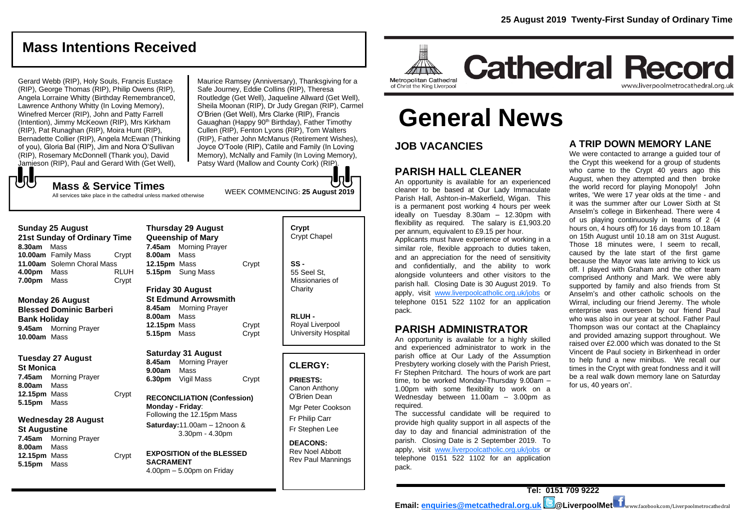**Cathedral Record** 

# **Mass Intentions Received**

Gerard Webb (RIP), Holy Souls, Francis Eustace (RIP), George Thomas (RIP), Philip Owens (RIP), Angela Lorraine Whitty (Birthday Remembrance0, Lawrence Anthony Whitty (In Loving Memory), Winefred Mercer (RIP), John and Patty Farrell (Intention), Jimmy McKeown (RIP), Mrs Kirkham (RIP), Pat Runaghan (RIP), Moira Hunt (RIP), Bernadette Collier (RIP), Angela McEwan (Thinking of you), Gloria Bal (RIP), Jim and Nora O'Sullivan (RIP), Rosemary McDonnell (Thank you), David Jamieson (RIP), Paul and Gerard With (Get Well),

Maurice Ramsey (Anniversary), Thanksgiving for a Safe Journey, Eddie Collins (RIP), Theresa Routledge (Get Well), Jaqueline Allward (Get Well), Sheila Moonan (RIP), Dr Judy Gregan (RIP), Carmel O'Brien (Get Well), Mrs Clarke (RIP), Francis Gauaghan (Happy 90<sup>th</sup> Birthday), Father Timothy Cullen (RIP), Fenton Lyons (RIP), Tom Walters (RIP), Father John McManus (Retirement Wishes), Joyce O'Toole (RIP), Catile and Family (In Loving Memory), McNally and Family (In Loving Memory), Patsy Ward (Mallow and County Cork) (RIP).

WEEK COMMENCING: **25 August 2019**

**Mass & Service Times** All services take place in the cathedral unless marked otherwise

| <b>Sunday 25 August</b>      |                            |             |  |
|------------------------------|----------------------------|-------------|--|
| 21st Sunday of Ordinary Time |                            |             |  |
| 8.30am Mass                  |                            |             |  |
|                              | 10.00am Family Mass        | Crypt       |  |
|                              | 11.00am Solemn Choral Mass |             |  |
| 4.00pm Mass                  |                            | <b>RLUH</b> |  |
| 7.00pm Mass                  |                            | Crypt       |  |

もし

#### **Monday 26 August Blessed Dominic Barberi Bank Holiday 9.45am** Morning Prayer **10.00am** Mass

#### **Tuesday 27 August St Monica 7.45am** Morning Prayer **8.00am** Mass **12.15pm** Mass Crypt **5.15pm** Mass

#### **Wednesday 28 August St Augustine 7.45am** Morning Prayer

**8.00am** Mass **12.15pm** Mass Crypt **5.15pm** Mass

|                                                                                 | <b>Thursday 29 August</b><br><b>Queenship of Mary</b> |       |  |
|---------------------------------------------------------------------------------|-------------------------------------------------------|-------|--|
|                                                                                 | 7.45am Morning Prayer                                 |       |  |
| 8.00am Mass                                                                     |                                                       |       |  |
| 12.15pm Mass                                                                    |                                                       | Crypt |  |
|                                                                                 | 5.15pm Sung Mass                                      |       |  |
| <b>Friday 30 August</b><br><b>St Edmund Arrowsmith</b><br>8.45am Morning Prayer |                                                       |       |  |
|                                                                                 |                                                       |       |  |
| 8.00am Mass                                                                     |                                                       |       |  |
| 12.15pm Mass                                                                    |                                                       | Crypt |  |
| 5.15pm                                                                          | Mass                                                  | Crypt |  |

**Saturday 31 August**

**8.45am** Morning Prayer **9.00am** Mass **6.30pm** Vigil Mass Crypt

#### **RECONCILIATION (Confession) Monday - Friday**: Following the 12.15pm Mass **Saturday:**11.00am – 12noon & 3.30pm - 4.30pm

**EXPOSITION of the BLESSED SACRAMENT** 4.00pm – 5.00pm on Friday

**Crypt**  Crypt Chapel **SS -** 55 Seel St, Missionaries of **Charity** 

**RLUH -** Royal Liverpool University Hospital

#### **CLERGY:**

**PRIESTS:** Canon Anthony O'Brien *Dean*

Mgr Peter Cookson Fr Philip Carr Fr Stephen Lee

**DEACONS:** Rev Noel Abbott Rev Paul Mannings



# **General News**

**JOB VACANCIES**

### **PARISH HALL CLEANER**

An opportunity is available for an experienced cleaner to be based at Our Lady Immaculate Parish Hall, Ashton-in–Makerfield, Wigan. This is a permanent post working 4 hours per week ideally on Tuesday 8.30am – 12.30pm with flexibility as required. The salary is £1,903.20 per annum, equivalent to £9.15 per hour. Applicants must have experience of working in a

similar role, flexible approach to duties taken, and an appreciation for the need of sensitivity and confidentially, and the ability to work alongside volunteers and other visitors to the parish hall. Closing Date is 30 August 2019. To apply, visit [www.liverpoolcatholic.org.uk/jobs](http://www.liverpoolcatholic.org.uk/jobs) or telephone 0151 522 1102 for an application pack.

### **PARISH ADMINISTRATOR**

An opportunity is available for a highly skilled and experienced administrator to work in the parish office at Our Lady of the Assumption Presbytery working closely with the Parish Priest, Fr Stephen Pritchard. The hours of work are part time, to be worked Monday-Thursday 9.00am – 1.00pm with some flexibility to work on a Wednesday between 11.00am – 3.00pm as required.

The successful candidate will be required to provide high quality support in all aspects of the day to day and financial administration of the parish. Closing Date is 2 September 2019. To apply, visit [www.liverpoolcatholic.org.uk/jobs](http://www.liverpoolcatholic.org.uk/jobs) or telephone 0151 522 1102 for an application pack.

#### **A TRIP DOWN MEMORY LANE**

www.liverpoolmetrocathedral.org.uk

We were contacted to arrange a guided tour of the Crypt this weekend for a group of students who came to the Crypt 40 years ago this August, when they attempted and then broke the world record for playing Monopoly! John writes, 'We were 17 year olds at the time - and it was the summer after our Lower Sixth at St Anselm's college in Birkenhead. There were 4 of us playing continuously in teams of 2 (4 hours on, 4 hours off) for 16 days from 10.18am on 15th August until 10.18 am on 31st August. Those 18 minutes were, I seem to recall, caused by the late start of the first game because the Mayor was late arriving to kick us off. I played with Graham and the other team comprised Anthony and Mark. We were ably supported by family and also friends from St Anselm's and other catholic schools on the Wirral, including our friend Jeremy. The whole enterprise was overseen by our friend Paul who was also in our year at school. Father Paul Thompson was our contact at the Chaplaincy and provided amazing support throughout. We raised over £2.000 which was donated to the St Vincent de Paul society in Birkenhead in order to help fund a new minibus. We recall our times in the Crypt with great fondness and it will be a real walk down memory lane on Saturday for us, 40 years on'.